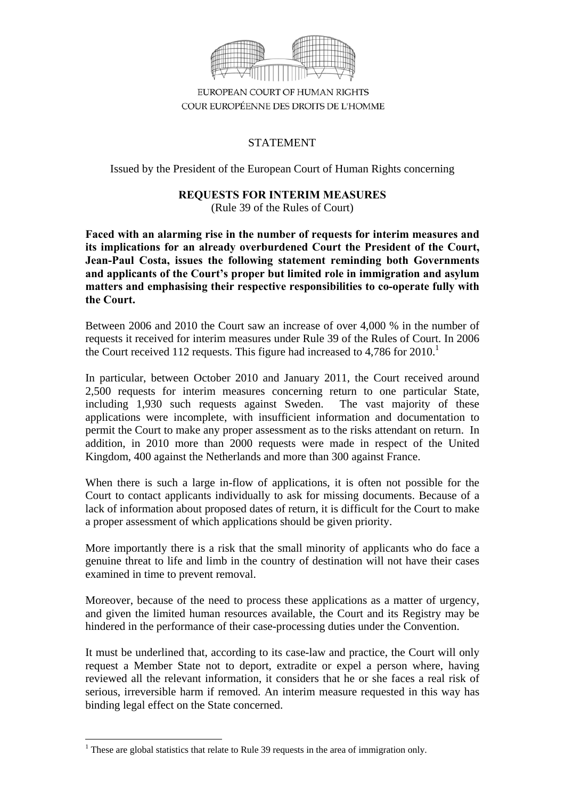

EUROPEAN COURT OF HUMAN RIGHTS COUR EUROPÉENNE DES DROITS DE L'HOMME

## **STATEMENT**

Issued by the President of the European Court of Human Rights concerning

# **REQUESTS FOR INTERIM MEASURES**

(Rule 39 of the Rules of Court)

**Faced with an alarming rise in the number of requests for interim measures and its implications for an already overburdened Court the President of the Court, Jean-Paul Costa, issues the following statement reminding both Governments and applicants of the Court's proper but limited role in immigration and asylum matters and emphasising their respective responsibilities to co-operate fully with the Court.** 

Between 2006 and 2010 the Court saw an increase of over 4,000 % in the number of requests it received for interim measures under Rule 39 of the Rules of Court. In 2006 the Court received 112 requests. This figure had increased to  $4,786$  for  $2010$ .<sup>1</sup>

In particular, between October 2010 and January 2011, the Court received around 2,500 requests for interim measures concerning return to one particular State, including 1,930 such requests against Sweden. The vast majority of these applications were incomplete, with insufficient information and documentation to permit the Court to make any proper assessment as to the risks attendant on return. In addition, in 2010 more than 2000 requests were made in respect of the United Kingdom, 400 against the Netherlands and more than 300 against France.

When there is such a large in-flow of applications, it is often not possible for the Court to contact applicants individually to ask for missing documents. Because of a lack of information about proposed dates of return, it is difficult for the Court to make a proper assessment of which applications should be given priority.

More importantly there is a risk that the small minority of applicants who do face a genuine threat to life and limb in the country of destination will not have their cases examined in time to prevent removal.

Moreover, because of the need to process these applications as a matter of urgency, and given the limited human resources available, the Court and its Registry may be hindered in the performance of their case-processing duties under the Convention.

It must be underlined that, according to its case-law and practice, the Court will only request a Member State not to deport, extradite or expel a person where, having reviewed all the relevant information, it considers that he or she faces a real risk of serious, irreversible harm if removed. An interim measure requested in this way has binding legal effect on the State concerned.

These are global statistics that relate to Rule 39 requests in the area of immigration only.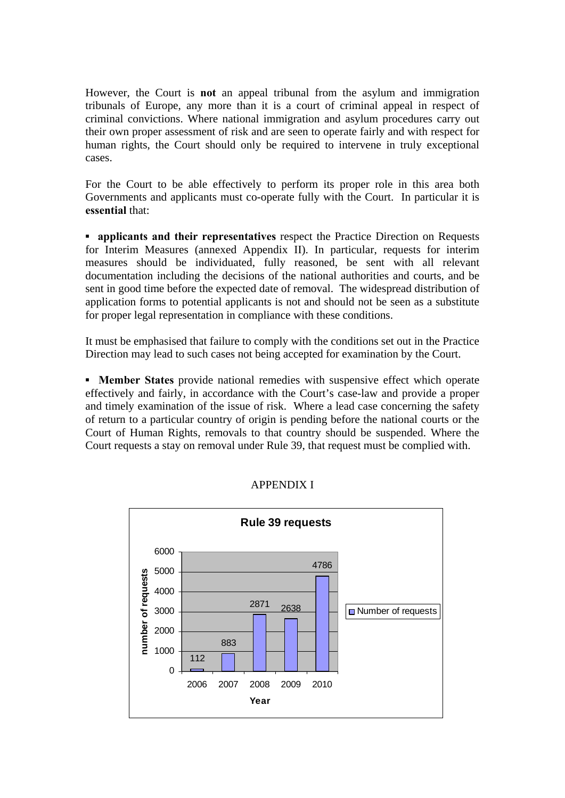However, the Court is **not** an appeal tribunal from the asylum and immigration tribunals of Europe, any more than it is a court of criminal appeal in respect of criminal convictions. Where national immigration and asylum procedures carry out their own proper assessment of risk and are seen to operate fairly and with respect for human rights, the Court should only be required to intervene in truly exceptional cases.

For the Court to be able effectively to perform its proper role in this area both Governments and applicants must co-operate fully with the Court. In particular it is **essential** that:

**• applicants and their representatives** respect the Practice Direction on Requests for Interim Measures (annexed Appendix II). In particular, requests for interim measures should be individuated, fully reasoned, be sent with all relevant documentation including the decisions of the national authorities and courts, and be sent in good time before the expected date of removal. The widespread distribution of application forms to potential applicants is not and should not be seen as a substitute for proper legal representation in compliance with these conditions.

It must be emphasised that failure to comply with the conditions set out in the Practice Direction may lead to such cases not being accepted for examination by the Court.

**▪ Member States** provide national remedies with suspensive effect which operate effectively and fairly, in accordance with the Court's case-law and provide a proper and timely examination of the issue of risk. Where a lead case concerning the safety of return to a particular country of origin is pending before the national courts or the Court of Human Rights, removals to that country should be suspended. Where the Court requests a stay on removal under Rule 39, that request must be complied with.



APPENDIX I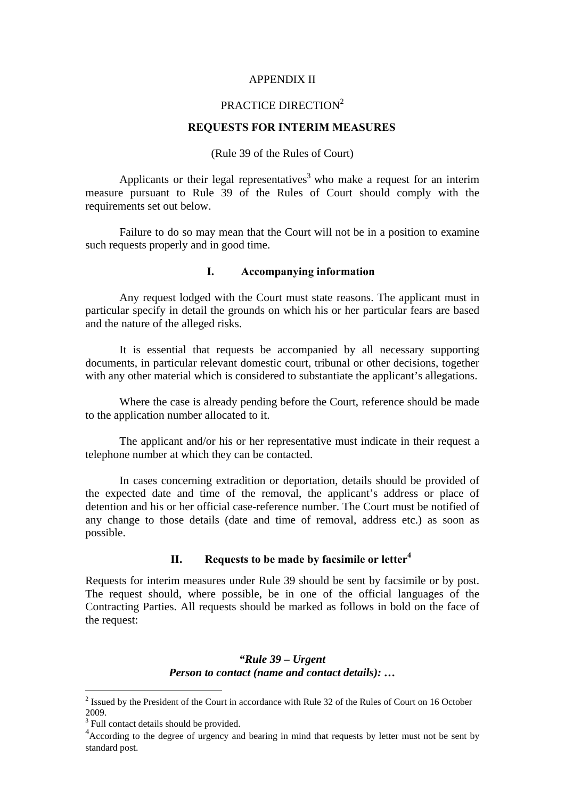#### APPENDIX II

## PRACTICE DIRECTION<sup>2</sup>

#### **REQUESTS FOR INTERIM MEASURES**

(Rule 39 of the Rules of Court)

Applicants or their legal representatives<sup>3</sup> who make a request for an interim measure pursuant to Rule 39 of the Rules of Court should comply with the requirements set out below.

Failure to do so may mean that the Court will not be in a position to examine such requests properly and in good time.

#### **I. Accompanying information**

Any request lodged with the Court must state reasons. The applicant must in particular specify in detail the grounds on which his or her particular fears are based and the nature of the alleged risks.

It is essential that requests be accompanied by all necessary supporting documents, in particular relevant domestic court, tribunal or other decisions, together with any other material which is considered to substantiate the applicant's allegations.

Where the case is already pending before the Court, reference should be made to the application number allocated to it.

The applicant and/or his or her representative must indicate in their request a telephone number at which they can be contacted.

In cases concerning extradition or deportation, details should be provided of the expected date and time of the removal, the applicant's address or place of detention and his or her official case-reference number. The Court must be notified of any change to those details (date and time of removal, address etc.) as soon as possible.

## **II. Requests to be made by facsimile or letter4**

Requests for interim measures under Rule 39 should be sent by facsimile or by post. The request should, where possible, be in one of the official languages of the Contracting Parties. All requests should be marked as follows in bold on the face of the request:

## *"Rule 39 – Urgent Person to contact (name and contact details): …*

1

 $2$  Issued by the President of the Court in accordance with Rule 32 of the Rules of Court on 16 October 2009.

<sup>&</sup>lt;sup>3</sup> Full contact details should be provided.

<sup>&</sup>lt;sup>4</sup> According to the degree of urgency and bearing in mind that requests by letter must not be sent by standard post.